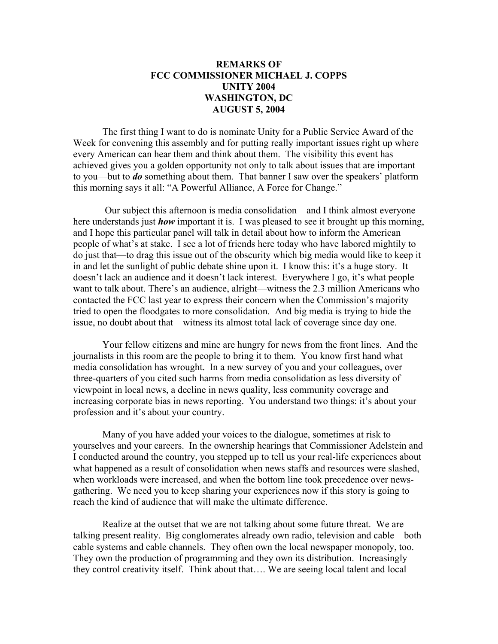## **REMARKS OF FCC COMMISSIONER MICHAEL J. COPPS UNITY 2004 WASHINGTON, DC AUGUST 5, 2004**

The first thing I want to do is nominate Unity for a Public Service Award of the Week for convening this assembly and for putting really important issues right up where every American can hear them and think about them. The visibility this event has achieved gives you a golden opportunity not only to talk about issues that are important to you—but to *do* something about them. That banner I saw over the speakers' platform this morning says it all: "A Powerful Alliance, A Force for Change."

 Our subject this afternoon is media consolidation—and I think almost everyone here understands just *how* important it is. I was pleased to see it brought up this morning, and I hope this particular panel will talk in detail about how to inform the American people of what's at stake. I see a lot of friends here today who have labored mightily to do just that—to drag this issue out of the obscurity which big media would like to keep it in and let the sunlight of public debate shine upon it. I know this: it's a huge story. It doesn't lack an audience and it doesn't lack interest. Everywhere I go, it's what people want to talk about. There's an audience, alright—witness the 2.3 million Americans who contacted the FCC last year to express their concern when the Commission's majority tried to open the floodgates to more consolidation. And big media is trying to hide the issue, no doubt about that—witness its almost total lack of coverage since day one.

Your fellow citizens and mine are hungry for news from the front lines. And the journalists in this room are the people to bring it to them. You know first hand what media consolidation has wrought. In a new survey of you and your colleagues, over three-quarters of you cited such harms from media consolidation as less diversity of viewpoint in local news, a decline in news quality, less community coverage and increasing corporate bias in news reporting. You understand two things: it's about your profession and it's about your country.

Many of you have added your voices to the dialogue, sometimes at risk to yourselves and your careers. In the ownership hearings that Commissioner Adelstein and I conducted around the country, you stepped up to tell us your real-life experiences about what happened as a result of consolidation when news staffs and resources were slashed, when workloads were increased, and when the bottom line took precedence over newsgathering. We need you to keep sharing your experiences now if this story is going to reach the kind of audience that will make the ultimate difference.

Realize at the outset that we are not talking about some future threat. We are talking present reality. Big conglomerates already own radio, television and cable – both cable systems and cable channels. They often own the local newspaper monopoly, too. They own the production of programming and they own its distribution. Increasingly they control creativity itself. Think about that…. We are seeing local talent and local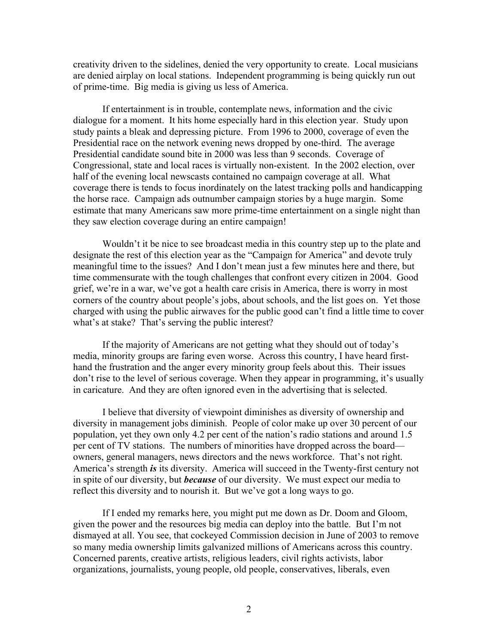creativity driven to the sidelines, denied the very opportunity to create. Local musicians are denied airplay on local stations. Independent programming is being quickly run out of prime-time. Big media is giving us less of America.

If entertainment is in trouble, contemplate news, information and the civic dialogue for a moment. It hits home especially hard in this election year. Study upon study paints a bleak and depressing picture. From 1996 to 2000, coverage of even the Presidential race on the network evening news dropped by one-third. The average Presidential candidate sound bite in 2000 was less than 9 seconds. Coverage of Congressional, state and local races is virtually non-existent. In the 2002 election, over half of the evening local newscasts contained no campaign coverage at all. What coverage there is tends to focus inordinately on the latest tracking polls and handicapping the horse race. Campaign ads outnumber campaign stories by a huge margin. Some estimate that many Americans saw more prime-time entertainment on a single night than they saw election coverage during an entire campaign!

Wouldn't it be nice to see broadcast media in this country step up to the plate and designate the rest of this election year as the "Campaign for America" and devote truly meaningful time to the issues? And I don't mean just a few minutes here and there, but time commensurate with the tough challenges that confront every citizen in 2004. Good grief, we're in a war, we've got a health care crisis in America, there is worry in most corners of the country about people's jobs, about schools, and the list goes on. Yet those charged with using the public airwaves for the public good can't find a little time to cover what's at stake? That's serving the public interest?

If the majority of Americans are not getting what they should out of today's media, minority groups are faring even worse. Across this country, I have heard firsthand the frustration and the anger every minority group feels about this. Their issues don't rise to the level of serious coverage. When they appear in programming, it's usually in caricature. And they are often ignored even in the advertising that is selected.

I believe that diversity of viewpoint diminishes as diversity of ownership and diversity in management jobs diminish. People of color make up over 30 percent of our population, yet they own only 4.2 per cent of the nation's radio stations and around 1.5 per cent of TV stations. The numbers of minorities have dropped across the board owners, general managers, news directors and the news workforce. That's not right. America's strength *is* its diversity. America will succeed in the Twenty-first century not in spite of our diversity, but *because* of our diversity. We must expect our media to reflect this diversity and to nourish it. But we've got a long ways to go.

If I ended my remarks here, you might put me down as Dr. Doom and Gloom, given the power and the resources big media can deploy into the battle. But I'm not dismayed at all. You see, that cockeyed Commission decision in June of 2003 to remove so many media ownership limits galvanized millions of Americans across this country. Concerned parents, creative artists, religious leaders, civil rights activists, labor organizations, journalists, young people, old people, conservatives, liberals, even